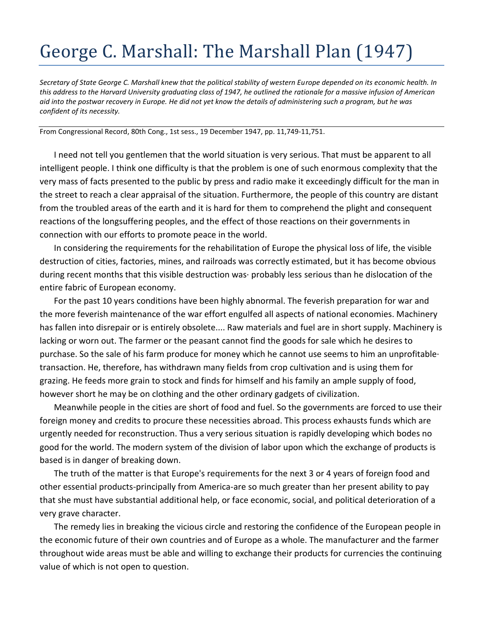## George C. Marshall: The Marshall Plan (1947)

*Secretary of State George C. Marshall knew that the political stability of western Europe depended on its economic health. In this address to the Harvard University graduating class of 1947, he outlined the rationale for a massive infusion of American aid into the postwar recovery in Europe. He did not yet know the details of administering such a program, but he was confident of its necessity.* 

From Congressional Record, 80th Cong., 1st sess., 19 December 1947, pp. 11,749-11,751.

I need not tell you gentlemen that the world situation is very serious. That must be apparent to all intelligent people. I think one difficulty is that the problem is one of such enormous complexity that the very mass of facts presented to the public by press and radio make it exceedingly difficult for the man in the street to reach a clear appraisal of the situation. Furthermore, the people of this country are distant from the troubled areas of the earth and it is hard for them to comprehend the plight and consequent reactions of the longsuffering peoples, and the effect of those reactions on their governments in connection with our efforts to promote peace in the world.

In considering the requirements for the rehabilitation of Europe the physical loss of life, the visible destruction of cities, factories, mines, and railroads was correctly estimated, but it has become obvious during recent months that this visible destruction was· probably less serious than he dislocation of the entire fabric of European economy.

For the past 10 years conditions have been highly abnormal. The feverish preparation for war and the more feverish maintenance of the war effort engulfed all aspects of national economies. Machinery has fallen into disrepair or is entirely obsolete.... Raw materials and fuel are in short supply. Machinery is lacking or worn out. The farmer or the peasant cannot find the goods for sale which he desires to purchase. So the sale of his farm produce for money which he cannot use seems to him an unprofitable· transaction. He, therefore, has withdrawn many fields from crop cultivation and is using them for grazing. He feeds more grain to stock and finds for himself and his family an ample supply of food, however short he may be on clothing and the other ordinary gadgets of civilization.

Meanwhile people in the cities are short of food and fuel. So the governments are forced to use their foreign money and credits to procure these necessities abroad. This process exhausts funds which are urgently needed for reconstruction. Thus a very serious situation is rapidly developing which bodes no good for the world. The modern system of the division of labor upon which the exchange of products is based is in danger of breaking down.

The truth of the matter is that Europe's requirements for the next 3 or 4 years of foreign food and other essential products-principally from America-are so much greater than her present ability to pay that she must have substantial additional help, or face economic, social, and political deterioration of a very grave character.

The remedy lies in breaking the vicious circle and restoring the confidence of the European people in the economic future of their own countries and of Europe as a whole. The manufacturer and the farmer throughout wide areas must be able and willing to exchange their products for currencies the continuing value of which is not open to question.